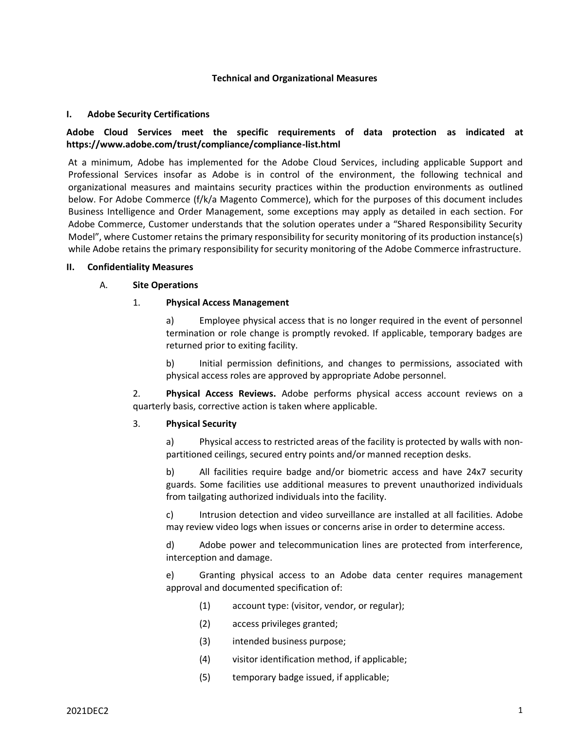#### **Technical and Organizational Measures**

#### **I. Adobe Security Certifications**

# **Adobe Cloud Services meet the specific requirements of data protection as indicated at https://www.adobe.com/trust/compliance/compliance-list.html**

At a minimum, Adobe has implemented for the Adobe Cloud Services, including applicable Support and Professional Services insofar as Adobe is in control of the environment, the following technical and organizational measures and maintains security practices within the production environments as outlined below. For Adobe Commerce (f/k/a Magento Commerce), which for the purposes of this document includes Business Intelligence and Order Management, some exceptions may apply as detailed in each section. For Adobe Commerce, Customer understands that the solution operates under a "Shared Responsibility Security Model", where Customer retains the primary responsibility for security monitoring of its production instance(s) while Adobe retains the primary responsibility for security monitoring of the Adobe Commerce infrastructure.

#### **II. Confidentiality Measures**

#### A. **Site Operations**

#### 1. **Physical Access Management**

a) Employee physical access that is no longer required in the event of personnel termination or role change is promptly revoked. If applicable, temporary badges are returned prior to exiting facility.

b) Initial permission definitions, and changes to permissions, associated with physical access roles are approved by appropriate Adobe personnel.

2. **Physical Access Reviews.** Adobe performs physical access account reviews on a quarterly basis, corrective action is taken where applicable.

#### 3. **Physical Security**

a) Physical access to restricted areas of the facility is protected by walls with non‐ partitioned ceilings, secured entry points and/or manned reception desks.

b) All facilities require badge and/or biometric access and have 24x7 security guards. Some facilities use additional measures to prevent unauthorized individuals from tailgating authorized individuals into the facility.

c) Intrusion detection and video surveillance are installed at all facilities. Adobe may review video logs when issues or concerns arise in order to determine access.

d) Adobe power and telecommunication lines are protected from interference, interception and damage.

e) Granting physical access to an Adobe data center requires management approval and documented specification of:

- (1) account type: (visitor, vendor, or regular);
- (2) access privileges granted;
- (3) intended business purpose;
- (4) visitor identification method, if applicable;
- (5) temporary badge issued, if applicable;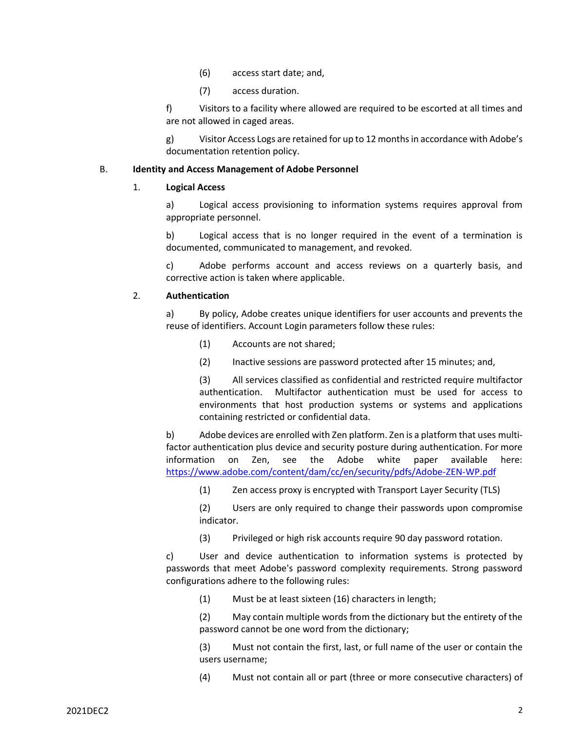- (6) access start date; and,
- (7) access duration.

f) Visitors to a facility where allowed are required to be escorted at all times and are not allowed in caged areas.

g) Visitor Access Logs are retained for up to 12 months in accordance with Adobe's documentation retention policy.

#### B. **Identity and Access Management of Adobe Personnel**

#### 1. **Logical Access**

a) Logical access provisioning to information systems requires approval from appropriate personnel.

b) Logical access that is no longer required in the event of a termination is documented, communicated to management, and revoked.

c) Adobe performs account and access reviews on a quarterly basis, and corrective action is taken where applicable.

# 2. **Authentication**

a) By policy, Adobe creates unique identifiers for user accounts and prevents the reuse of identifiers. Account Login parameters follow these rules:

- (1) Accounts are not shared;
- (2) Inactive sessions are password protected after 15 minutes; and,

(3) All services classified as confidential and restricted require multifactor authentication. Multifactor authentication must be used for access to environments that host production systems or systems and applications containing restricted or confidential data.

b) Adobe devices are enrolled with Zen platform. Zen is a platform that uses multifactor authentication plus device and security posture during authentication. For more information on Zen, see the Adobe white paper available here: https://www.adobe.com/content/dam/cc/en/security/pdfs/Adobe-ZEN-WP.pdf

(1) Zen access proxy is encrypted with Transport Layer Security (TLS)

(2) Users are only required to change their passwords upon compromise indicator.

(3) Privileged or high risk accounts require 90 day password rotation.

c) User and device authentication to information systems is protected by passwords that meet Adobe's password complexity requirements. Strong password configurations adhere to the following rules:

(1) Must be at least sixteen (16) characters in length;

(2) May contain multiple words from the dictionary but the entirety of the password cannot be one word from the dictionary;

(3) Must not contain the first, last, or full name of the user or contain the users username;

(4) Must not contain all or part (three or more consecutive characters) of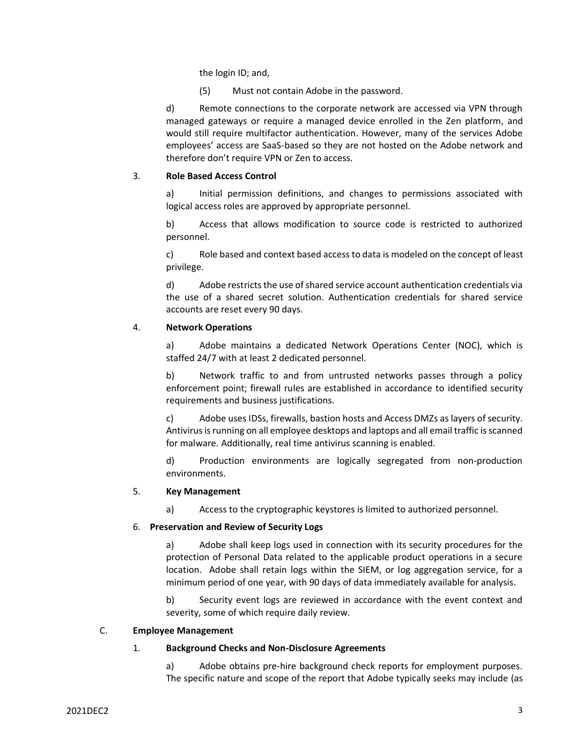the login ID; and,

(5) Must not contain Adobe in the password.

d) Remote connections to the corporate network are accessed via VPN through managed gateways or require a managed device enrolled in the Zen platform, and would still require multifactor authentication. However, many of the services Adobe employees' access are SaaS-based so they are not hosted on the Adobe network and therefore don't require VPN or Zen to access.

# 3. **Role Based Access Control**

a) Initial permission definitions, and changes to permissions associated with logical access roles are approved by appropriate personnel.

b) Access that allows modification to source code is restricted to authorized personnel.

c) Role based and context based access to data is modeled on the concept of least privilege.

d) Adobe restricts the use of shared service account authentication credentials via the use of a shared secret solution. Authentication credentials for shared service accounts are reset every 90 days.

# 4. **Network Operations**

a) Adobe maintains a dedicated Network Operations Center (NOC), which is staffed 24/7 with at least 2 dedicated personnel.

b) Network traffic to and from untrusted networks passes through a policy enforcement point; firewall rules are established in accordance to identified security requirements and business justifications.

c) Adobe uses IDSs, firewalls, bastion hosts and Access DMZs as layers of security. Antivirus is running on all employee desktops and laptops and all email traffic is scanned for malware. Additionally, real time antivirus scanning is enabled.

d) Production environments are logically segregated from non‐production environments.

# 5. **Key Management**

a) Access to the cryptographic keystores is limited to authorized personnel.

# 6. **Preservation and Review of Security Logs**

a) Adobe shall keep logs used in connection with its security procedures for the protection of Personal Data related to the applicable product operations in a secure location. Adobe shall retain logs within the SIEM, or log aggregation service, for a minimum period of one year, with 90 days of data immediately available for analysis.

b) Security event logs are reviewed in accordance with the event context and severity, some of which require daily review.

# C. **Employee Management**

# 1. **Background Checks and Non-Disclosure Agreements**

a) Adobe obtains pre-hire background check reports for employment purposes. The specific nature and scope of the report that Adobe typically seeks may include (as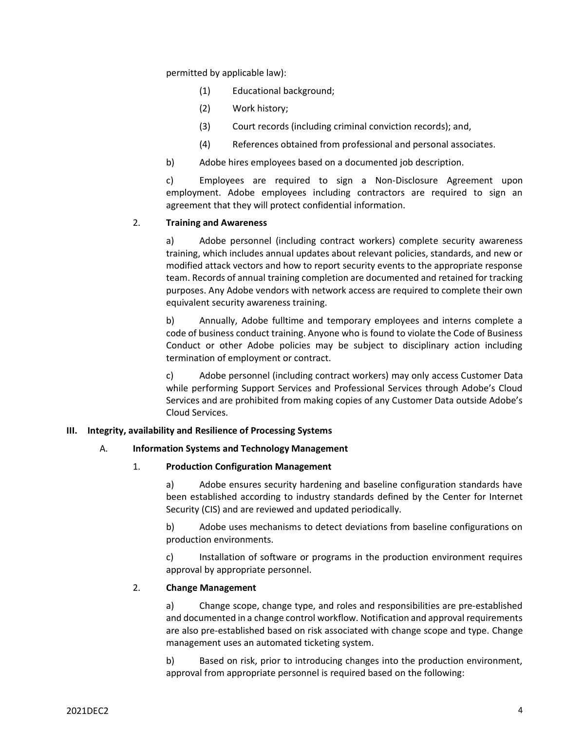permitted by applicable law):

- (1) Educational background;
- (2) Work history;
- (3) Court records (including criminal conviction records); and,
- (4) References obtained from professional and personal associates.
- b) Adobe hires employees based on a documented job description.

c) Employees are required to sign a Non-Disclosure Agreement upon employment. Adobe employees including contractors are required to sign an agreement that they will protect confidential information.

# 2. **Training and Awareness**

a) Adobe personnel (including contract workers) complete security awareness training, which includes annual updates about relevant policies, standards, and new or modified attack vectors and how to report security events to the appropriate response team. Records of annual training completion are documented and retained for tracking purposes. Any Adobe vendors with network access are required to complete their own equivalent security awareness training.

b) Annually, Adobe fulltime and temporary employees and interns complete a code of business conduct training. Anyone who is found to violate the Code of Business Conduct or other Adobe policies may be subject to disciplinary action including termination of employment or contract.

c) Adobe personnel (including contract workers) may only access Customer Data while performing Support Services and Professional Services through Adobe's Cloud Services and are prohibited from making copies of any Customer Data outside Adobe's Cloud Services.

# **III. Integrity, availability and Resilience of Processing Systems**

# A. **Information Systems and Technology Management**

# 1. **Production Configuration Management**

a) Adobe ensures security hardening and baseline configuration standards have been established according to industry standards defined by the Center for Internet Security (CIS) and are reviewed and updated periodically.

b) Adobe uses mechanisms to detect deviations from baseline configurations on production environments.

c) Installation of software or programs in the production environment requires approval by appropriate personnel.

# 2. **Change Management**

a) Change scope, change type, and roles and responsibilities are pre‐established and documented in a change control workflow. Notification and approval requirements are also pre‐established based on risk associated with change scope and type. Change management uses an automated ticketing system.

b) Based on risk, prior to introducing changes into the production environment, approval from appropriate personnel is required based on the following: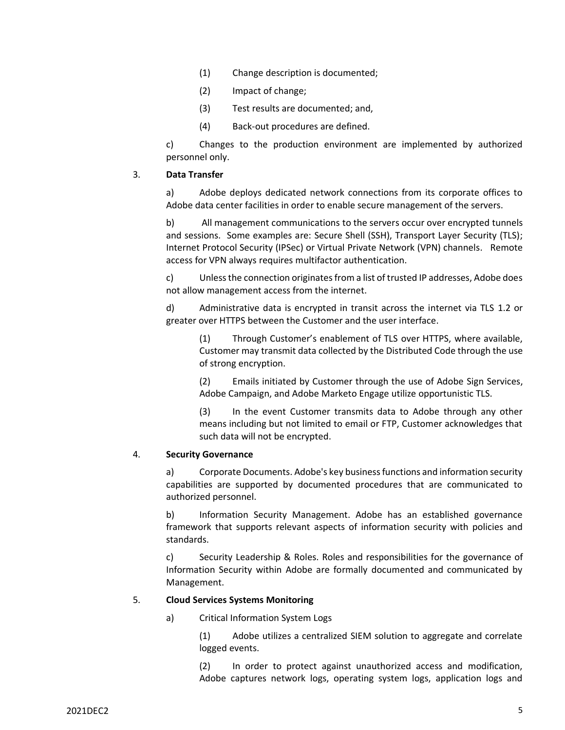- (1) Change description is documented;
- (2) Impact of change;
- (3) Test results are documented; and,
- (4) Back‐out procedures are defined.

c) Changes to the production environment are implemented by authorized personnel only.

#### 3. **Data Transfer**

a) Adobe deploys dedicated network connections from its corporate offices to Adobe data center facilities in order to enable secure management of the servers.

b) All management communications to the servers occur over encrypted tunnels and sessions. Some examples are: Secure Shell (SSH), Transport Layer Security (TLS); Internet Protocol Security (IPSec) or Virtual Private Network (VPN) channels. Remote access for VPN always requires multifactor authentication.

c) Unless the connection originates from a list of trusted IP addresses, Adobe does not allow management access from the internet.

d) Administrative data is encrypted in transit across the internet via TLS 1.2 or greater over HTTPS between the Customer and the user interface.

(1) Through Customer's enablement of TLS over HTTPS, where available, Customer may transmit data collected by the Distributed Code through the use of strong encryption.

(2) Emails initiated by Customer through the use of Adobe Sign Services, Adobe Campaign, and Adobe Marketo Engage utilize opportunistic TLS.

(3) In the event Customer transmits data to Adobe through any other means including but not limited to email or FTP, Customer acknowledges that such data will not be encrypted.

#### 4. **Security Governance**

a) Corporate Documents. Adobe's key business functions and information security capabilities are supported by documented procedures that are communicated to authorized personnel.

b) Information Security Management. Adobe has an established governance framework that supports relevant aspects of information security with policies and standards.

c) Security Leadership & Roles. Roles and responsibilities for the governance of Information Security within Adobe are formally documented and communicated by Management.

#### 5. **Cloud Services Systems Monitoring**

a) Critical Information System Logs

(1) Adobe utilizes a centralized SIEM solution to aggregate and correlate logged events.

(2) In order to protect against unauthorized access and modification, Adobe captures network logs, operating system logs, application logs and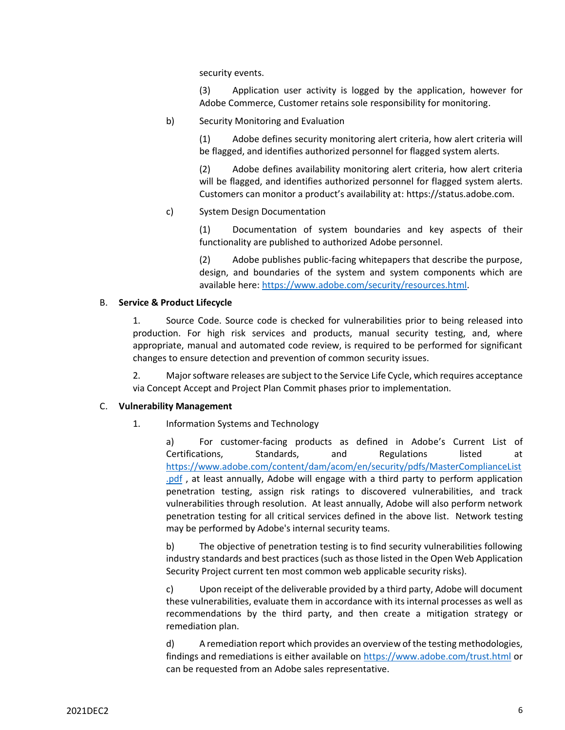security events.

(3) Application user activity is logged by the application, however for Adobe Commerce, Customer retains sole responsibility for monitoring.

b) Security Monitoring and Evaluation

(1) Adobe defines security monitoring alert criteria, how alert criteria will be flagged, and identifies authorized personnel for flagged system alerts.

(2) Adobe defines availability monitoring alert criteria, how alert criteria will be flagged, and identifies authorized personnel for flagged system alerts. Customers can monitor a product's availability at: https://status.adobe.com.

c) System Design Documentation

(1) Documentation of system boundaries and key aspects of their functionality are published to authorized Adobe personnel.

(2) Adobe publishes public‐facing whitepapers that describe the purpose, design, and boundaries of the system and system components which are available here: [https://www.adobe.com/security/resources.html.](https://www.adobe.com/security/resources.html)

#### B. **Service & Product Lifecycle**

1. Source Code. Source code is checked for vulnerabilities prior to being released into production. For high risk services and products, manual security testing, and, where appropriate, manual and automated code review, is required to be performed for significant changes to ensure detection and prevention of common security issues.

2. Major software releases are subject to the Service Life Cycle, which requires acceptance via Concept Accept and Project Plan Commit phases prior to implementation.

# C. **Vulnerability Management**

1. Information Systems and Technology

a) For customer-facing products as defined in Adobe's Current List of Certifications, Standards, and Regulations listed at [https://www.adobe.com/content/dam/acom/en/security/pdfs/MasterComplianceList](https://www.adobe.com/content/dam/acom/en/security/pdfs/MasterComplianceList.pdf) [.pdf](https://www.adobe.com/content/dam/acom/en/security/pdfs/MasterComplianceList.pdf) , at least annually, Adobe will engage with a third party to perform application penetration testing, assign risk ratings to discovered vulnerabilities, and track vulnerabilities through resolution. At least annually, Adobe will also perform network penetration testing for all critical services defined in the above list. Network testing may be performed by Adobe's internal security teams.

b) The objective of penetration testing is to find security vulnerabilities following industry standards and best practices (such as those listed in the Open Web Application Security Project current ten most common web applicable security risks).

c) Upon receipt of the deliverable provided by a third party, Adobe will document these vulnerabilities, evaluate them in accordance with its internal processes as well as recommendations by the third party, and then create a mitigation strategy or remediation plan.

d) A remediation report which provides an overview of the testing methodologies, findings and remediations is either available on<https://www.adobe.com/trust.html> or can be requested from an Adobe sales representative.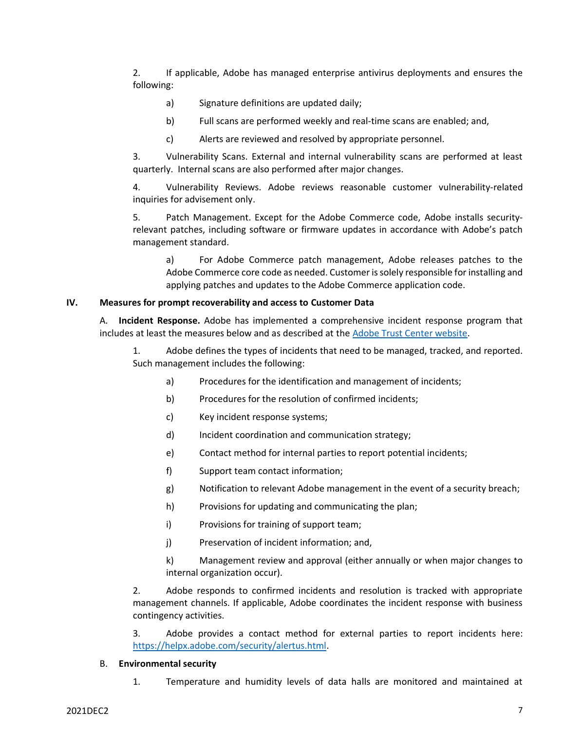2. If applicable, Adobe has managed enterprise antivirus deployments and ensures the following:

- a) Signature definitions are updated daily;
- b) Full scans are performed weekly and real-time scans are enabled; and,
- c) Alerts are reviewed and resolved by appropriate personnel.

3. Vulnerability Scans. External and internal vulnerability scans are performed at least quarterly. Internal scans are also performed after major changes.

4. Vulnerability Reviews. Adobe reviews reasonable customer vulnerability‐related inquiries for advisement only.

5. Patch Management. Except for the Adobe Commerce code, Adobe installs security‐ relevant patches, including software or firmware updates in accordance with Adobe's patch management standard.

a) For Adobe Commerce patch management, Adobe releases patches to the Adobe Commerce core code as needed. Customer is solely responsible for installing and applying patches and updates to the Adobe Commerce application code.

#### **IV. Measures for prompt recoverability and access to Customer Data**

A. **Incident Response.** Adobe has implemented a comprehensive incident response program that includes at least the measures below and as described at the [Adobe Trust Center website.](https://www.adobe.com/security/incident-response.html)

1. Adobe defines the types of incidents that need to be managed, tracked, and reported. Such management includes the following:

- a) Procedures for the identification and management of incidents;
- b) Procedures for the resolution of confirmed incidents;
- c) Key incident response systems;
- d) Incident coordination and communication strategy;
- e) Contact method for internal parties to report potential incidents;
- f) Support team contact information;
- g) Notification to relevant Adobe management in the event of a security breach;
- h) Provisions for updating and communicating the plan;
- i) Provisions for training of support team;
- j) Preservation of incident information; and,

k) Management review and approval (either annually or when major changes to internal organization occur).

2. Adobe responds to confirmed incidents and resolution is tracked with appropriate management channels. If applicable, Adobe coordinates the incident response with business contingency activities.

3. Adobe provides a contact method for external parties to report incidents here: [https://helpx.adobe.com/security/alertus.html.](https://helpx.adobe.com/security/alertus.html)

#### B. **Environmental security**

1. Temperature and humidity levels of data halls are monitored and maintained at